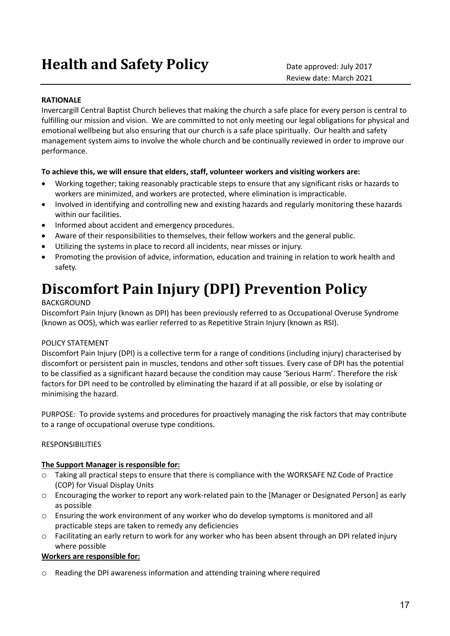# **Health and Safety Policy** Date approved: July 2017

## **RATIONALE**

Invercargill Central Baptist Church believes that making the church a safe place for every person is central to fulfilling our mission and vision. We are committed to not only meeting our legal obligations for physical and emotional wellbeing but also ensuring that our church is a safe place spiritually. Our health and safety management system aims to involve the whole church and be continually reviewed in order to improve our performance.

### **To achieve this, we will ensure that elders, staff, volunteer workers and visiting workers are:**

- Working together; taking reasonably practicable steps to ensure that any significant risks or hazards to workers are minimized, and workers are protected, where elimination is impracticable.
- Involved in identifying and controlling new and existing hazards and regularly monitoring these hazards within our facilities.
- Informed about accident and emergency procedures.
- Aware of their responsibilities to themselves, their fellow workers and the general public.
- Utilizing the systems in place to record all incidents, near misses or injury.
- Promoting the provision of advice, information, education and training in relation to work health and safety.

## **Discomfort Pain Injury (DPI) Prevention Policy**

## BACKGROUND

Discomfort Pain Injury (known as DPI) has been previously referred to as Occupational Overuse Syndrome (known as OOS), which was earlier referred to as Repetitive Strain Injury (known as RSI).

## POLICY STATEMENT

Discomfort Pain Injury (DPI) is a collective term for a range of conditions (including injury) characterised by discomfort or persistent pain in muscles, tendons and other soft tissues. Every case of DPI has the potential to be classified as a significant hazard because the condition may cause 'Serious Harm'. Therefore the risk factors for DPI need to be controlled by eliminating the hazard if at all possible, or else by isolating or minimising the hazard.

PURPOSE: To provide systems and procedures for proactively managing the risk factors that may contribute to a range of occupational overuse type conditions.

## RESPONSIBILITIES

#### **The Support Manager is responsible for:**

- o Taking all practical steps to ensure that there is compliance with the WORKSAFE NZ Code of Practice (COP) for Visual Display Units
- o Encouraging the worker to report any work-related pain to the [Manager or Designated Person] as early as possible
- o Ensuring the work environment of any worker who do develop symptoms is monitored and all practicable steps are taken to remedy any deficiencies
- o Facilitating an early return to work for any worker who has been absent through an DPI related injury where possible

#### **Workers are responsible for:**

o Reading the DPI awareness information and attending training where required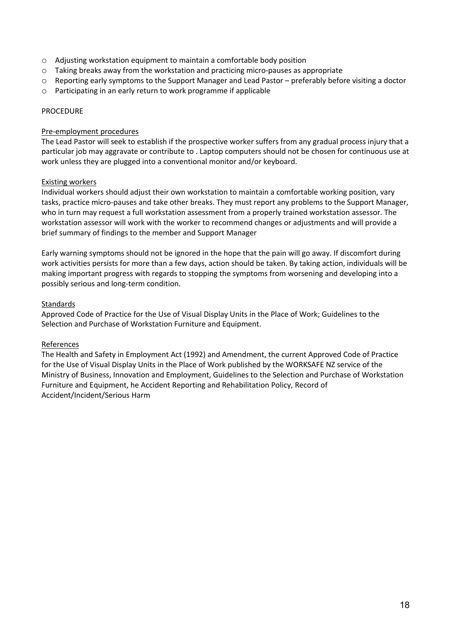- o Adjusting workstation equipment to maintain a comfortable body position
- o Taking breaks away from the workstation and practicing micro-pauses as appropriate
- $\circ$  Reporting early symptoms to the Support Manager and Lead Pastor preferably before visiting a doctor
- o Participating in an early return to work programme if applicable

#### PROCEDURE

#### Pre-employment procedures

The Lead Pastor will seek to establish if the prospective worker suffers from any gradual process injury that a particular job may aggravate or contribute to . Laptop computers should not be chosen for continuous use at work unless they are plugged into a conventional monitor and/or keyboard.

### Existing workers

Individual workers should adjust their own workstation to maintain a comfortable working position, vary tasks, practice micro-pauses and take other breaks. They must report any problems to the Support Manager, who in turn may request a full workstation assessment from a properly trained workstation assessor. The workstation assessor will work with the worker to recommend changes or adjustments and will provide a brief summary of findings to the member and Support Manager

Early warning symptoms should not be ignored in the hope that the pain will go away. If discomfort during work activities persists for more than a few days, action should be taken. By taking action, individuals will be making important progress with regards to stopping the symptoms from worsening and developing into a possibly serious and long-term condition.

### Standards

Approved Code of Practice for the Use of Visual Display Units in the Place of Work; Guidelines to the Selection and Purchase of Workstation Furniture and Equipment.

## References

The Health and Safety in Employment Act (1992) and Amendment, the current Approved Code of Practice for the Use of Visual Display Units in the Place of Work published by the WORKSAFE NZ service of the Ministry of Business, Innovation and Employment, Guidelines to the Selection and Purchase of Workstation Furniture and Equipment, he Accident Reporting and Rehabilitation Policy, Record of Accident/Incident/Serious Harm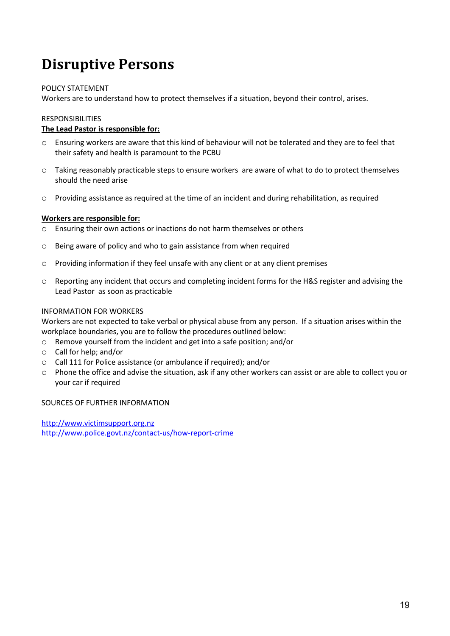## **Disruptive Persons**

## POLICY STATEMENT

Workers are to understand how to protect themselves if a situation, beyond their control, arises.

### RESPONSIBILITIES

## **The Lead Pastor is responsible for:**

- o Ensuring workers are aware that this kind of behaviour will not be tolerated and they are to feel that their safety and health is paramount to the PCBU
- o Taking reasonably practicable steps to ensure workers are aware of what to do to protect themselves should the need arise
- o Providing assistance as required at the time of an incident and during rehabilitation, as required

#### **Workers are responsible for:**

- o Ensuring their own actions or inactions do not harm themselves or others
- o Being aware of policy and who to gain assistance from when required
- o Providing information if they feel unsafe with any client or at any client premises
- $\circ$  Reporting any incident that occurs and completing incident forms for the H&S register and advising the Lead Pastor as soon as practicable

### INFORMATION FOR WORKERS

Workers are not expected to take verbal or physical abuse from any person. If a situation arises within the workplace boundaries, you are to follow the procedures outlined below:

- o Remove yourself from the incident and get into a safe position; and/or
- o Call for help; and/or
- o Call 111 for Police assistance (or ambulance if required); and/or
- o Phone the office and advise the situation, ask if any other workers can assist or are able to collect you or your car if required

#### SOURCES OF FURTHER INFORMATION

http://www.victimsupport.org.nz http://www.police.govt.nz/contact-us/how-report-crime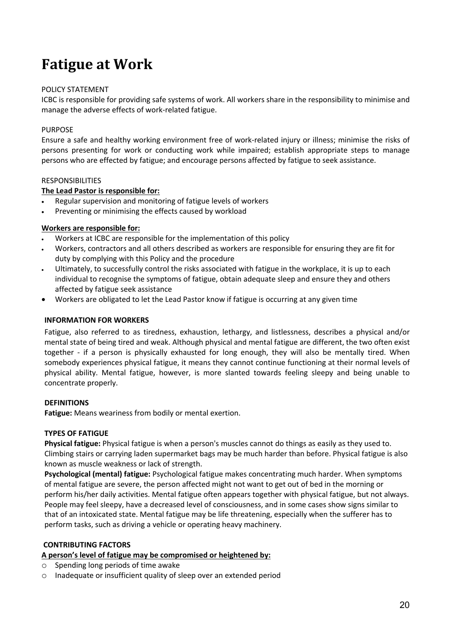## **Fatigue at Work**

## POLICY STATEMENT

ICBC is responsible for providing safe systems of work. All workers share in the responsibility to minimise and manage the adverse effects of work-related fatigue.

## **PURPOSE**

Ensure a safe and healthy working environment free of work-related injury or illness; minimise the risks of persons presenting for work or conducting work while impaired; establish appropriate steps to manage persons who are effected by fatigue; and encourage persons affected by fatigue to seek assistance.

### RESPONSIBILITIES

### **The Lead Pastor is responsible for:**

- Regular supervision and monitoring of fatigue levels of workers
- Preventing or minimising the effects caused by workload

### **Workers are responsible for:**

- Workers at ICBC are responsible for the implementation of this policy
- Workers, contractors and all others described as workers are responsible for ensuring they are fit for duty by complying with this Policy and the procedure
- Ultimately, to successfully control the risks associated with fatigue in the workplace, it is up to each individual to recognise the symptoms of fatigue, obtain adequate sleep and ensure they and others affected by fatigue seek assistance
- Workers are obligated to let the Lead Pastor know if fatigue is occurring at any given time

#### **INFORMATION FOR WORKERS**

Fatigue, also referred to as tiredness, exhaustion, lethargy, and listlessness, describes a physical and/or mental state of being tired and weak. Although physical and mental fatigue are different, the two often exist together - if a person is physically exhausted for long enough, they will also be mentally tired. When somebody experiences physical fatigue, it means they cannot continue functioning at their normal levels of physical ability. Mental fatigue, however, is more slanted towards feeling sleepy and being unable to concentrate properly.

#### **DEFINITIONS**

**Fatigue:** Means weariness from bodily or mental exertion.

#### **TYPES OF FATIGUE**

**Physical fatigue:** Physical fatigue is when a person's muscles cannot do things as easily as they used to. Climbing stairs or carrying laden supermarket bags may be much harder than before. Physical fatigue is also known as muscle weakness or lack of strength.

**Psychological (mental) fatigue:** Psychological fatigue makes concentrating much harder. When symptoms of mental fatigue are severe, the person affected might not want to get out of bed in the morning or perform his/her daily activities. Mental fatigue often appears together with physical fatigue, but not always. People may feel sleepy, have a decreased level of consciousness, and in some cases show signs similar to that of an intoxicated state. Mental fatigue may be life threatening, especially when the sufferer has to perform tasks, such as driving a vehicle or operating heavy machinery.

## **CONTRIBUTING FACTORS**

## **A person's level of fatigue may be compromised or heightened by:**

- Spending long periods of time awake
- o Inadequate or insufficient quality of sleep over an extended period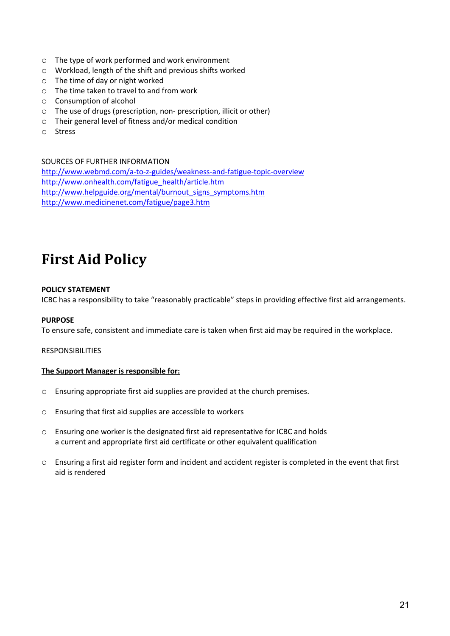- o The type of work performed and work environment
- o Workload, length of the shift and previous shifts worked
- o The time of day or night worked
- o The time taken to travel to and from work
- o Consumption of alcohol
- o The use of drugs (prescription, non- prescription, illicit or other)
- o Their general level of fitness and/or medical condition
- o Stress

SOURCES OF FURTHER INFORMATION http://www.webmd.com/a-to-z-guides/weakness-and-fatigue-topic-overview http://www.onhealth.com/fatigue\_health/article.htm http://www.helpguide.org/mental/burnout\_signs\_symptoms.htm http://www.medicinenet.com/fatigue/page3.htm

# **First Aid Policy**

## **POLICY STATEMENT**

ICBC has a responsibility to take "reasonably practicable" steps in providing effective first aid arrangements.

## **PURPOSE**

To ensure safe, consistent and immediate care is taken when first aid may be required in the workplace.

#### RESPONSIBILITIES

#### **The Support Manager is responsible for:**

- o Ensuring appropriate first aid supplies are provided at the church premises.
- o Ensuring that first aid supplies are accessible to workers
- $\circ$  Ensuring one worker is the designated first aid representative for ICBC and holds a current and appropriate first aid certificate or other equivalent qualification
- o Ensuring a first aid register form and incident and accident register is completed in the event that first aid is rendered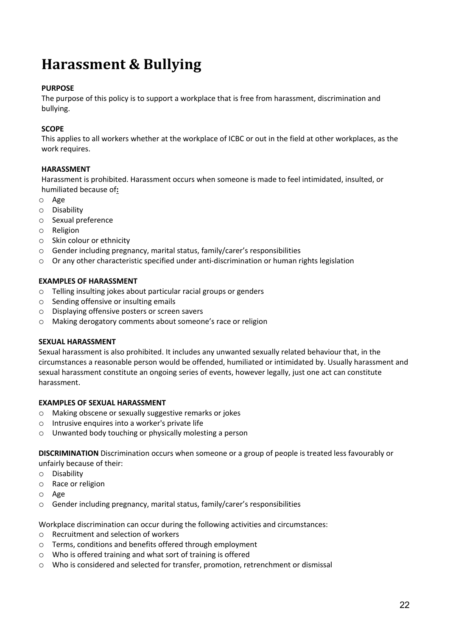## **Harassment & Bullying**

## **PURPOSE**

The purpose of this policy is to support a workplace that is free from harassment, discrimination and bullying.

## **SCOPE**

This applies to all workers whether at the workplace of ICBC or out in the field at other workplaces, as the work requires.

## **HARASSMENT**

Harassment is prohibited. Harassment occurs when someone is made to feel intimidated, insulted, or humiliated because of**:** 

- o Age
- o Disability
- o Sexual preference
- o Religion
- o Skin colour or ethnicity
- o Gender including pregnancy, marital status, family/carer's responsibilities
- $\circ$  Or any other characteristic specified under anti-discrimination or human rights legislation

## **EXAMPLES OF HARASSMENT**

- o Telling insulting jokes about particular racial groups or genders
- o Sending offensive or insulting emails
- o Displaying offensive posters or screen savers
- o Making derogatory comments about someone's race or religion

## **SEXUAL HARASSMENT**

Sexual harassment is also prohibited. It includes any unwanted sexually related behaviour that, in the circumstances a reasonable person would be offended, humiliated or intimidated by. Usually harassment and sexual harassment constitute an ongoing series of events, however legally, just one act can constitute harassment.

## **EXAMPLES OF SEXUAL HARASSMENT**

- o Making obscene or sexually suggestive remarks or jokes
- o Intrusive enquires into a worker's private life
- o Unwanted body touching or physically molesting a person

**DISCRIMINATION** Discrimination occurs when someone or a group of people is treated less favourably or unfairly because of their:

- o Disability
- o Race or religion
- o Age
- o Gender including pregnancy, marital status, family/carer's responsibilities

Workplace discrimination can occur during the following activities and circumstances:

- o Recruitment and selection of workers
- o Terms, conditions and benefits offered through employment
- o Who is offered training and what sort of training is offered
- o Who is considered and selected for transfer, promotion, retrenchment or dismissal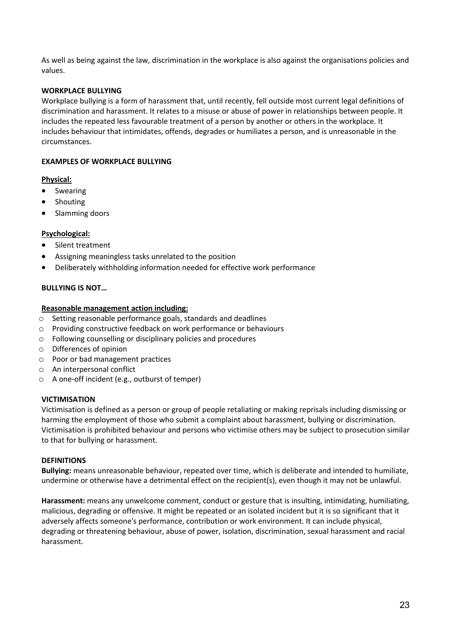As well as being against the law, discrimination in the workplace is also against the organisations policies and values.

## **WORKPLACE BULLYING**

Workplace bullying is a form of harassment that, until recently, fell outside most current legal definitions of discrimination and harassment. It relates to a misuse or abuse of power in relationships between people. It includes the repeated less favourable treatment of a person by another or others in the workplace. It includes behaviour that intimidates, offends, degrades or humiliates a person, and is unreasonable in the circumstances.

#### **EXAMPLES OF WORKPLACE BULLYING**

### **Physical:**

- Swearing
- **Shouting**
- Slamming doors

### **Psychological:**

- Silent treatment
- Assigning meaningless tasks unrelated to the position
- Deliberately withholding information needed for effective work performance

### **BULLYING IS NOT…**

#### **Reasonable management action including:**

- o Setting reasonable performance goals, standards and deadlines
- o Providing constructive feedback on work performance or behaviours
- o Following counselling or disciplinary policies and procedures
- o Differences of opinion
- o Poor or bad management practices
- o An interpersonal conflict
- o A one-off incident (e.g., outburst of temper)

#### **VICTIMISATION**

Victimisation is defined as a person or group of people retaliating or making reprisals including dismissing or harming the employment of those who submit a complaint about harassment, bullying or discrimination. Victimisation is prohibited behaviour and persons who victimise others may be subject to prosecution similar to that for bullying or harassment.

#### **DEFINITIONS**

**Bullying:** means unreasonable behaviour, repeated over time, which is deliberate and intended to humiliate, undermine or otherwise have a detrimental effect on the recipient(s), even though it may not be unlawful.

**Harassment:** means any unwelcome comment, conduct or gesture that is insulting, intimidating, humiliating, malicious, degrading or offensive. It might be repeated or an isolated incident but it is so significant that it adversely affects someone's performance, contribution or work environment. It can include physical, degrading or threatening behaviour, abuse of power, isolation, discrimination, sexual harassment and racial harassment.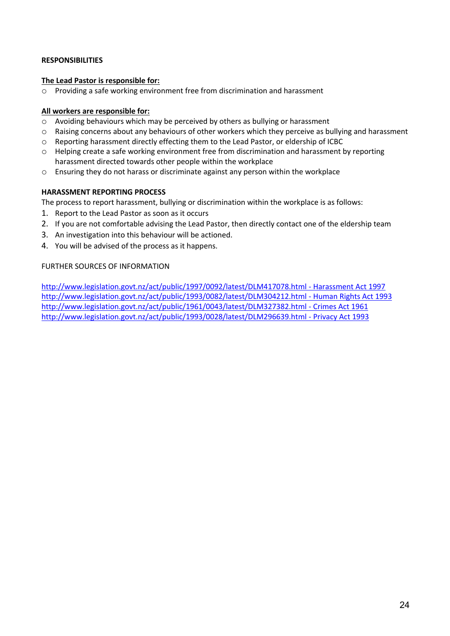## **RESPONSIBILITIES**

### **The Lead Pastor is responsible for:**

o Providing a safe working environment free from discrimination and harassment

## **All workers are responsible for:**

- o Avoiding behaviours which may be perceived by others as bullying or harassment
- o Raising concerns about any behaviours of other workers which they perceive as bullying and harassment
- o Reporting harassment directly effecting them to the Lead Pastor, or eldership of ICBC
- o Helping create a safe working environment free from discrimination and harassment by reporting harassment directed towards other people within the workplace
- $\circ$  Ensuring they do not harass or discriminate against any person within the workplace

## **HARASSMENT REPORTING PROCESS**

The process to report harassment, bullying or discrimination within the workplace is as follows:

- 1. Report to the Lead Pastor as soon as it occurs
- 2. If you are not comfortable advising the Lead Pastor, then directly contact one of the eldership team
- 3. An investigation into this behaviour will be actioned.
- 4. You will be advised of the process as it happens.

### FURTHER SOURCES OF INFORMATION

http://www.legislation.govt.nz/act/public/1997/0092/latest/DLM417078.html - Harassment Act 1997 http://www.legislation.govt.nz/act/public/1993/0082/latest/DLM304212.html - Human Rights Act 1993 http://www.legislation.govt.nz/act/public/1961/0043/latest/DLM327382.html - Crimes Act 1961 http://www.legislation.govt.nz/act/public/1993/0028/latest/DLM296639.html - Privacy Act 1993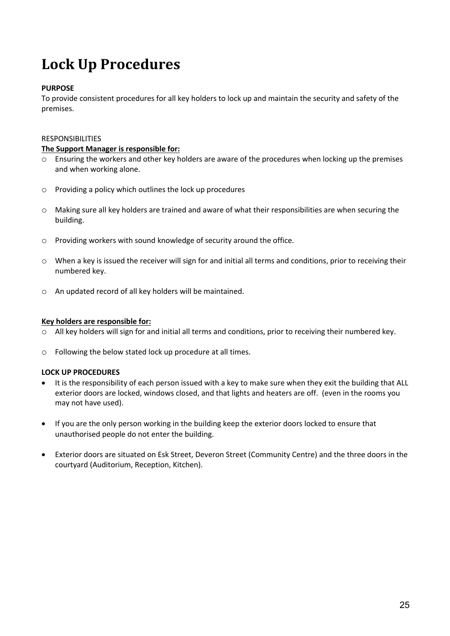# **Lock Up Procedures**

## **PURPOSE**

To provide consistent procedures for all key holders to lock up and maintain the security and safety of the premises.

#### RESPONSIBILITIES

#### **The Support Manager is responsible for:**

- o Ensuring the workers and other key holders are aware of the procedures when locking up the premises and when working alone.
- o Providing a policy which outlines the lock up procedures
- o Making sure all key holders are trained and aware of what their responsibilities are when securing the building.
- o Providing workers with sound knowledge of security around the office.
- $\circ$  When a key is issued the receiver will sign for and initial all terms and conditions, prior to receiving their numbered key.
- o An updated record of all key holders will be maintained.

#### **Key holders are responsible for:**

- o All key holders will sign for and initial all terms and conditions, prior to receiving their numbered key.
- o Following the below stated lock up procedure at all times.

## **LOCK UP PROCEDURES**

- It is the responsibility of each person issued with a key to make sure when they exit the building that ALL exterior doors are locked, windows closed, and that lights and heaters are off. (even in the rooms you may not have used).
- If you are the only person working in the building keep the exterior doors locked to ensure that unauthorised people do not enter the building.
- Exterior doors are situated on Esk Street, Deveron Street (Community Centre) and the three doors in the courtyard (Auditorium, Reception, Kitchen).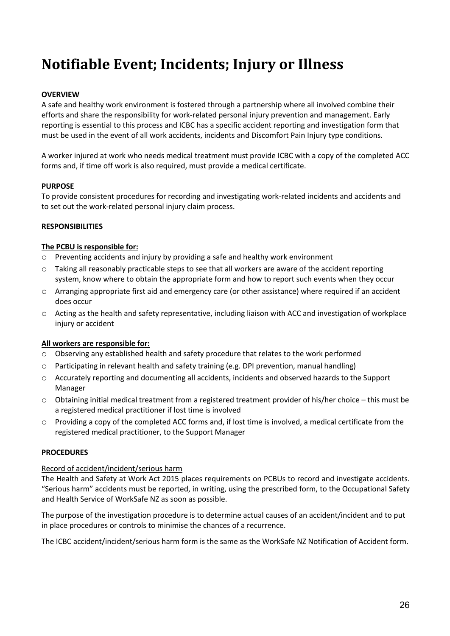# **Notifiable Event; Incidents; Injury or Illness**

## **OVERVIEW**

A safe and healthy work environment is fostered through a partnership where all involved combine their efforts and share the responsibility for work-related personal injury prevention and management. Early reporting is essential to this process and ICBC has a specific accident reporting and investigation form that must be used in the event of all work accidents, incidents and Discomfort Pain Injury type conditions.

A worker injured at work who needs medical treatment must provide ICBC with a copy of the completed ACC forms and, if time off work is also required, must provide a medical certificate.

## **PURPOSE**

To provide consistent procedures for recording and investigating work-related incidents and accidents and to set out the work-related personal injury claim process.

### **RESPONSIBILITIES**

### **The PCBU is responsible for:**

- o Preventing accidents and injury by providing a safe and healthy work environment
- $\circ$  Taking all reasonably practicable steps to see that all workers are aware of the accident reporting system, know where to obtain the appropriate form and how to report such events when they occur
- o Arranging appropriate first aid and emergency care (or other assistance) where required if an accident does occur
- o Acting as the health and safety representative, including liaison with ACC and investigation of workplace injury or accident

## **All workers are responsible for:**

- o Observing any established health and safety procedure that relates to the work performed
- $\circ$  Participating in relevant health and safety training (e.g. DPI prevention, manual handling)
- o Accurately reporting and documenting all accidents, incidents and observed hazards to the Support Manager
- o Obtaining initial medical treatment from a registered treatment provider of his/her choice this must be a registered medical practitioner if lost time is involved
- o Providing a copy of the completed ACC forms and, if lost time is involved, a medical certificate from the registered medical practitioner, to the Support Manager

## **PROCEDURES**

#### Record of accident/incident/serious harm

The Health and Safety at Work Act 2015 places requirements on PCBUs to record and investigate accidents. "Serious harm" accidents must be reported, in writing, using the prescribed form, to the Occupational Safety and Health Service of WorkSafe NZ as soon as possible.

The purpose of the investigation procedure is to determine actual causes of an accident/incident and to put in place procedures or controls to minimise the chances of a recurrence.

The ICBC accident/incident/serious harm form is the same as the WorkSafe NZ Notification of Accident form.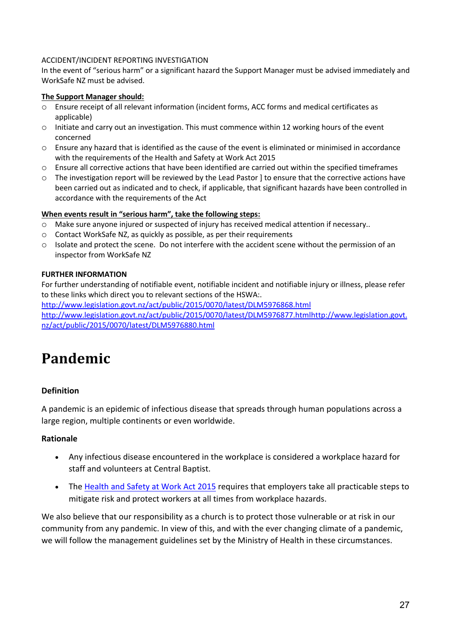## ACCIDENT/INCIDENT REPORTING INVESTIGATION

In the event of "serious harm" or a significant hazard the Support Manager must be advised immediately and WorkSafe NZ must be advised.

## **The Support Manager should:**

- o Ensure receipt of all relevant information (incident forms, ACC forms and medical certificates as applicable)
- o Initiate and carry out an investigation. This must commence within 12 working hours of the event concerned
- $\circ$  Ensure any hazard that is identified as the cause of the event is eliminated or minimised in accordance with the requirements of the Health and Safety at Work Act 2015
- o Ensure all corrective actions that have been identified are carried out within the specified timeframes
- o The investigation report will be reviewed by the Lead Pastor ] to ensure that the corrective actions have been carried out as indicated and to check, if applicable, that significant hazards have been controlled in accordance with the requirements of the Act

## **When events result in "serious harm", take the following steps:**

- o Make sure anyone injured or suspected of injury has received medical attention if necessary..
- o Contact WorkSafe NZ, as quickly as possible, as per their requirements
- o Isolate and protect the scene. Do not interfere with the accident scene without the permission of an inspector from WorkSafe NZ

## **FURTHER INFORMATION**

For further understanding of notifiable event, notifiable incident and notifiable injury or illness, please refer to these links which direct you to relevant sections of the HSWA:.

http://www.legislation.govt.nz/act/public/2015/0070/latest/DLM5976868.html http://www.legislation.govt.nz/act/public/2015/0070/latest/DLM5976877.htmlhttp://www.legislation.govt. nz/act/public/2015/0070/latest/DLM5976880.html

## **Pandemic**

## **Definition**

A pandemic is an epidemic of infectious disease that spreads through human populations across a large region, multiple continents or even worldwide.

## **Rationale**

- Any infectious disease encountered in the workplace is considered a workplace hazard for staff and volunteers at Central Baptist.
- The Health and Safety at Work Act 2015 requires that employers take all practicable steps to mitigate risk and protect workers at all times from workplace hazards.

We also believe that our responsibility as a church is to protect those vulnerable or at risk in our community from any pandemic. In view of this, and with the ever changing climate of a pandemic, we will follow the management guidelines set by the Ministry of Health in these circumstances.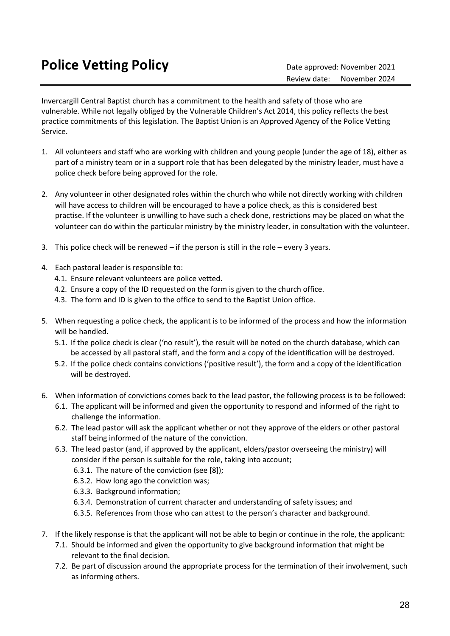Invercargill Central Baptist church has a commitment to the health and safety of those who are vulnerable. While not legally obliged by the Vulnerable Children's Act 2014, this policy reflects the best practice commitments of this legislation. The Baptist Union is an Approved Agency of the Police Vetting Service.

- 1. All volunteers and staff who are working with children and young people (under the age of 18), either as part of a ministry team or in a support role that has been delegated by the ministry leader, must have a police check before being approved for the role.
- 2. Any volunteer in other designated roles within the church who while not directly working with children will have access to children will be encouraged to have a police check, as this is considered best practise. If the volunteer is unwilling to have such a check done, restrictions may be placed on what the volunteer can do within the particular ministry by the ministry leader, in consultation with the volunteer.
- 3. This police check will be renewed if the person is still in the role every 3 years.
- 4. Each pastoral leader is responsible to:
	- 4.1. Ensure relevant volunteers are police vetted.
	- 4.2. Ensure a copy of the ID requested on the form is given to the church office.
	- 4.3. The form and ID is given to the office to send to the Baptist Union office.
- 5. When requesting a police check, the applicant is to be informed of the process and how the information will be handled.
	- 5.1. If the police check is clear ('no result'), the result will be noted on the church database, which can be accessed by all pastoral staff, and the form and a copy of the identification will be destroyed.
	- 5.2. If the police check contains convictions ('positive result'), the form and a copy of the identification will be destroyed.
- 6. When information of convictions comes back to the lead pastor, the following process is to be followed:
	- 6.1. The applicant will be informed and given the opportunity to respond and informed of the right to challenge the information.
	- 6.2. The lead pastor will ask the applicant whether or not they approve of the elders or other pastoral staff being informed of the nature of the conviction.
	- 6.3. The lead pastor (and, if approved by the applicant, elders/pastor overseeing the ministry) will consider if the person is suitable for the role, taking into account;
		- 6.3.1. The nature of the conviction (see [8]);
		- 6.3.2. How long ago the conviction was;
		- 6.3.3. Background information;
		- 6.3.4. Demonstration of current character and understanding of safety issues; and
		- 6.3.5. References from those who can attest to the person's character and background.
- 7. If the likely response is that the applicant will not be able to begin or continue in the role, the applicant:
	- 7.1. Should be informed and given the opportunity to give background information that might be relevant to the final decision.
	- 7.2. Be part of discussion around the appropriate process for the termination of their involvement, such as informing others.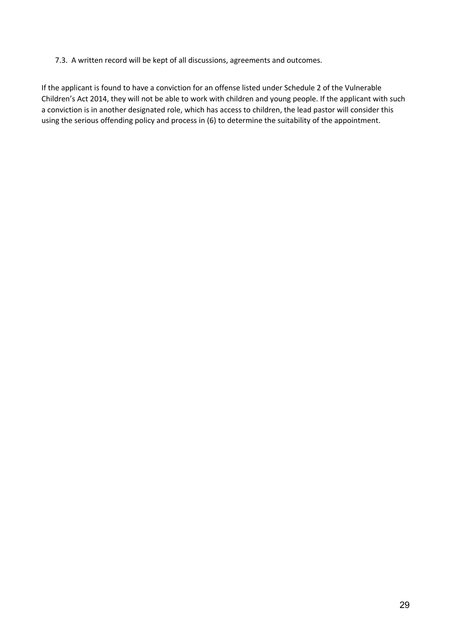7.3. A written record will be kept of all discussions, agreements and outcomes.

If the applicant is found to have a conviction for an offense listed under Schedule 2 of the Vulnerable Children's Act 2014, they will not be able to work with children and young people. If the applicant with such a conviction is in another designated role, which has access to children, the lead pastor will consider this using the serious offending policy and process in (6) to determine the suitability of the appointment.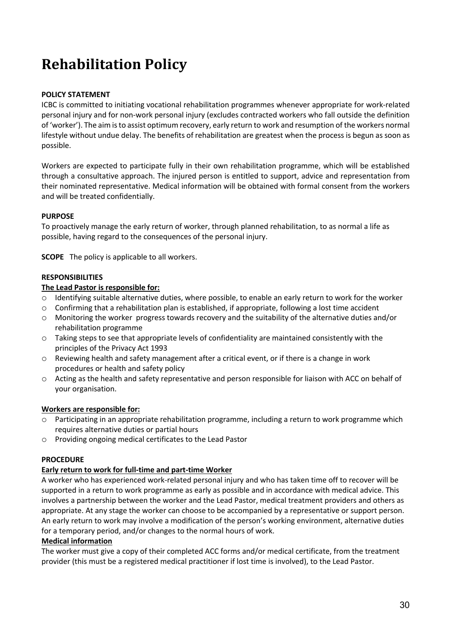# **Rehabilitation Policy**

## **POLICY STATEMENT**

ICBC is committed to initiating vocational rehabilitation programmes whenever appropriate for work-related personal injury and for non-work personal injury (excludes contracted workers who fall outside the definition of 'worker'). The aim is to assist optimum recovery, early return to work and resumption of the workers normal lifestyle without undue delay. The benefits of rehabilitation are greatest when the process is begun as soon as possible.

Workers are expected to participate fully in their own rehabilitation programme, which will be established through a consultative approach. The injured person is entitled to support, advice and representation from their nominated representative. Medical information will be obtained with formal consent from the workers and will be treated confidentially.

## **PURPOSE**

To proactively manage the early return of worker, through planned rehabilitation, to as normal a life as possible, having regard to the consequences of the personal injury.

**SCOPE** The policy is applicable to all workers.

## **RESPONSIBILITIES**

### **The Lead Pastor is responsible for:**

- o Identifying suitable alternative duties, where possible, to enable an early return to work for the worker
- $\circ$  Confirming that a rehabilitation plan is established, if appropriate, following a lost time accident
- o Monitoring the worker progress towards recovery and the suitability of the alternative duties and/or rehabilitation programme
- o Taking steps to see that appropriate levels of confidentiality are maintained consistently with the principles of the Privacy Act 1993
- o Reviewing health and safety management after a critical event, or if there is a change in work procedures or health and safety policy
- o Acting as the health and safety representative and person responsible for liaison with ACC on behalf of your organisation.

## **Workers are responsible for:**

- o Participating in an appropriate rehabilitation programme, including a return to work programme which requires alternative duties or partial hours
- o Providing ongoing medical certificates to the Lead Pastor

## **PROCEDURE**

## **Early return to work for full-time and part-time Worker**

A worker who has experienced work-related personal injury and who has taken time off to recover will be supported in a return to work programme as early as possible and in accordance with medical advice. This involves a partnership between the worker and the Lead Pastor, medical treatment providers and others as appropriate. At any stage the worker can choose to be accompanied by a representative or support person. An early return to work may involve a modification of the person's working environment, alternative duties for a temporary period, and/or changes to the normal hours of work.

## **Medical information**

The worker must give a copy of their completed ACC forms and/or medical certificate, from the treatment provider (this must be a registered medical practitioner if lost time is involved), to the Lead Pastor.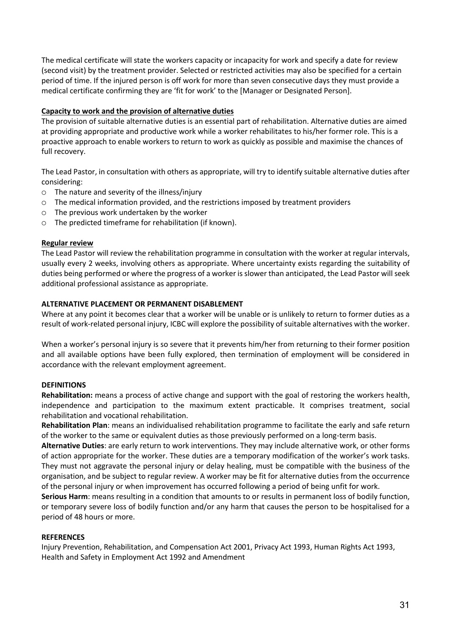The medical certificate will state the workers capacity or incapacity for work and specify a date for review (second visit) by the treatment provider. Selected or restricted activities may also be specified for a certain period of time. If the injured person is off work for more than seven consecutive days they must provide a medical certificate confirming they are 'fit for work' to the [Manager or Designated Person].

## **Capacity to work and the provision of alternative duties**

The provision of suitable alternative duties is an essential part of rehabilitation. Alternative duties are aimed at providing appropriate and productive work while a worker rehabilitates to his/her former role. This is a proactive approach to enable workers to return to work as quickly as possible and maximise the chances of full recovery.

The Lead Pastor, in consultation with others as appropriate, will try to identify suitable alternative duties after considering:

- o The nature and severity of the illness/injury
- o The medical information provided, and the restrictions imposed by treatment providers
- o The previous work undertaken by the worker
- o The predicted timeframe for rehabilitation (if known).

#### **Regular review**

The Lead Pastor will review the rehabilitation programme in consultation with the worker at regular intervals, usually every 2 weeks, involving others as appropriate. Where uncertainty exists regarding the suitability of duties being performed or where the progress of a worker is slower than anticipated, the Lead Pastor will seek additional professional assistance as appropriate.

### **ALTERNATIVE PLACEMENT OR PERMANENT DISABLEMENT**

Where at any point it becomes clear that a worker will be unable or is unlikely to return to former duties as a result of work-related personal injury, ICBC will explore the possibility of suitable alternatives with the worker.

When a worker's personal injury is so severe that it prevents him/her from returning to their former position and all available options have been fully explored, then termination of employment will be considered in accordance with the relevant employment agreement.

## **DEFINITIONS**

**Rehabilitation:** means a process of active change and support with the goal of restoring the workers health, independence and participation to the maximum extent practicable. It comprises treatment, social rehabilitation and vocational rehabilitation.

**Rehabilitation Plan**: means an individualised rehabilitation programme to facilitate the early and safe return of the worker to the same or equivalent duties as those previously performed on a long-term basis.

**Alternative Duties**: are early return to work interventions. They may include alternative work, or other forms of action appropriate for the worker. These duties are a temporary modification of the worker's work tasks. They must not aggravate the personal injury or delay healing, must be compatible with the business of the organisation, and be subject to regular review. A worker may be fit for alternative duties from the occurrence of the personal injury or when improvement has occurred following a period of being unfit for work.

**Serious Harm**: means resulting in a condition that amounts to or results in permanent loss of bodily function, or temporary severe loss of bodily function and/or any harm that causes the person to be hospitalised for a period of 48 hours or more.

#### **REFERENCES**

Injury Prevention, Rehabilitation, and Compensation Act 2001, Privacy Act 1993, Human Rights Act 1993, Health and Safety in Employment Act 1992 and Amendment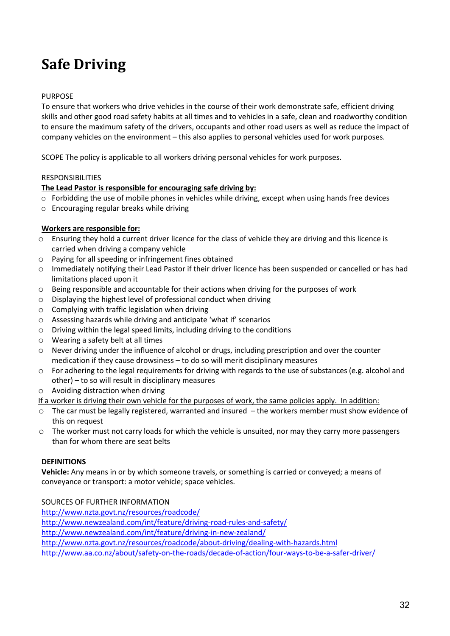# **Safe Driving**

## PURPOSE

To ensure that workers who drive vehicles in the course of their work demonstrate safe, efficient driving skills and other good road safety habits at all times and to vehicles in a safe, clean and roadworthy condition to ensure the maximum safety of the drivers, occupants and other road users as well as reduce the impact of company vehicles on the environment – this also applies to personal vehicles used for work purposes.

SCOPE The policy is applicable to all workers driving personal vehicles for work purposes.

#### RESPONSIBILITIES

#### **The Lead Pastor is responsible for encouraging safe driving by:**

- $\circ$  Forbidding the use of mobile phones in vehicles while driving, except when using hands free devices
- o Encouraging regular breaks while driving

### **Workers are responsible for:**

- o Ensuring they hold a current driver licence for the class of vehicle they are driving and this licence is carried when driving a company vehicle
- o Paying for all speeding or infringement fines obtained
- o Immediately notifying their Lead Pastor if their driver licence has been suspended or cancelled or has had limitations placed upon it
- o Being responsible and accountable for their actions when driving for the purposes of work
- o Displaying the highest level of professional conduct when driving
- o Complying with traffic legislation when driving
- o Assessing hazards while driving and anticipate 'what if' scenarios
- o Driving within the legal speed limits, including driving to the conditions
- o Wearing a safety belt at all times
- o Never driving under the influence of alcohol or drugs, including prescription and over the counter medication if they cause drowsiness – to do so will merit disciplinary measures
- o For adhering to the legal requirements for driving with regards to the use of substances (e.g. alcohol and other) – to so will result in disciplinary measures
- o Avoiding distraction when driving
- If a worker is driving their own vehicle for the purposes of work, the same policies apply. In addition:
- o The car must be legally registered, warranted and insured the workers member must show evidence of this on request
- o The worker must not carry loads for which the vehicle is unsuited, nor may they carry more passengers than for whom there are seat belts

#### **DEFINITIONS**

**Vehicle:** Any means in or by which someone travels, or something is carried or conveyed; a means of conveyance or transport: a motor vehicle; space vehicles.

SOURCES OF FURTHER INFORMATION

http://www.nzta.govt.nz/resources/roadcode/

http://www.newzealand.com/int/feature/driving-road-rules-and-safety/

http://www.newzealand.com/int/feature/driving-in-new-zealand/

http://www.nzta.govt.nz/resources/roadcode/about-driving/dealing-with-hazards.html

http://www.aa.co.nz/about/safety-on-the-roads/decade-of-action/four-ways-to-be-a-safer-driver/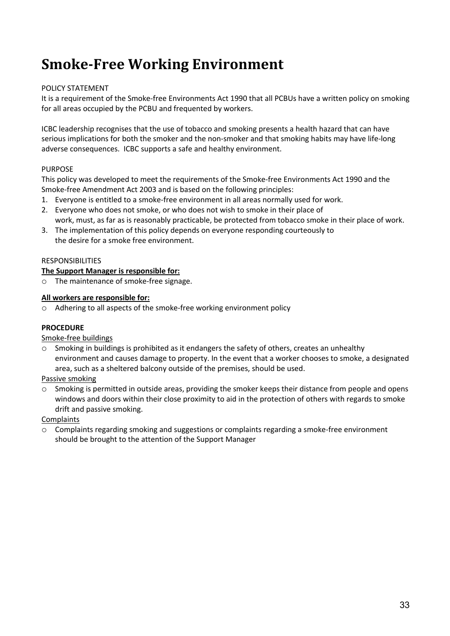# **Smoke-Free Working Environment**

## POLICY STATEMENT

It is a requirement of the Smoke-free Environments Act 1990 that all PCBUs have a written policy on smoking for all areas occupied by the PCBU and frequented by workers.

ICBC leadership recognises that the use of tobacco and smoking presents a health hazard that can have serious implications for both the smoker and the non-smoker and that smoking habits may have life-long adverse consequences. ICBC supports a safe and healthy environment.

## PURPOSE

This policy was developed to meet the requirements of the Smoke-free Environments Act 1990 and the Smoke-free Amendment Act 2003 and is based on the following principles:

- 1. Everyone is entitled to a smoke-free environment in all areas normally used for work.
- 2. Everyone who does not smoke, or who does not wish to smoke in their place of work, must, as far as is reasonably practicable, be protected from tobacco smoke in their place of work.
- 3. The implementation of this policy depends on everyone responding courteously to the desire for a smoke free environment.

### RESPONSIBILITIES

## **The Support Manager is responsible for:**

o The maintenance of smoke-free signage.

### **All workers are responsible for:**

o Adhering to all aspects of the smoke-free working environment policy

## **PROCEDURE**

#### Smoke-free buildings

o Smoking in buildings is prohibited as it endangers the safety of others, creates an unhealthy environment and causes damage to property. In the event that a worker chooses to smoke, a designated area, such as a sheltered balcony outside of the premises, should be used.

Passive smoking

o Smoking is permitted in outside areas, providing the smoker keeps their distance from people and opens windows and doors within their close proximity to aid in the protection of others with regards to smoke drift and passive smoking.

Complaints

o Complaints regarding smoking and suggestions or complaints regarding a smoke-free environment should be brought to the attention of the Support Manager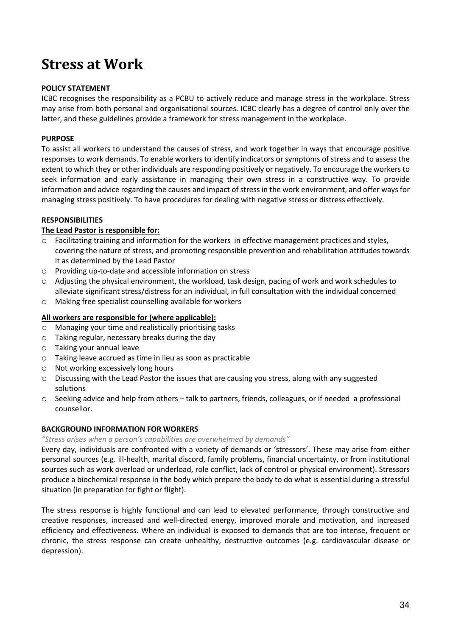## **Stress at Work**

## **POLICY STATEMENT**

ICBC recognises the responsibility as a PCBU to actively reduce and manage stress in the workplace. Stress may arise from both personal and organisational sources. ICBC clearly has a degree of control only over the latter, and these guidelines provide a framework for stress management in the workplace.

## **PURPOSE**

To assist all workers to understand the causes of stress, and work together in ways that encourage positive responses to work demands. To enable workers to identify indicators or symptoms of stress and to assess the extent to which they or other individuals are responding positively or negatively. To encourage the workers to seek information and early assistance in managing their own stress in a constructive way. To provide information and advice regarding the causes and impact of stress in the work environment, and offer ways for managing stress positively. To have procedures for dealing with negative stress or distress effectively.

### **RESPONSIBILITIES**

### **The Lead Pastor is responsible for:**

- o Facilitating training and information for the workers in effective management practices and styles, covering the nature of stress, and promoting responsible prevention and rehabilitation attitudes towards it as determined by the Lead Pastor
- o Providing up-to-date and accessible information on stress
- o Adjusting the physical environment, the workload, task design, pacing of work and work schedules to alleviate significant stress/distress for an individual, in full consultation with the individual concerned
- o Making free specialist counselling available for workers

### **All workers are responsible for (where applicable):**

- o Managing your time and realistically prioritising tasks
- o Taking regular, necessary breaks during the day
- o Taking your annual leave
- o Taking leave accrued as time in lieu as soon as practicable
- o Not working excessively long hours
- o Discussing with the Lead Pastor the issues that are causing you stress, along with any suggested solutions
- o Seeking advice and help from others talk to partners, friends, colleagues, or if needed a professional counsellor.

## **BACKGROUND INFORMATION FOR WORKERS**

#### *"Stress arises when a person's capabilities are overwhelmed by demands"*

Every day, individuals are confronted with a variety of demands or 'stressors'. These may arise from either personal sources (e.g. ill-health, marital discord, family problems, financial uncertainty, or from institutional sources such as work overload or underload, role conflict, lack of control or physical environment). Stressors produce a biochemical response in the body which prepare the body to do what is essential during a stressful situation (in preparation for fight or flight).

The stress response is highly functional and can lead to elevated performance, through constructive and creative responses, increased and well-directed energy, improved morale and motivation, and increased efficiency and effectiveness. Where an individual is exposed to demands that are too intense, frequent or chronic, the stress response can create unhealthy, destructive outcomes (e.g. cardiovascular disease or depression).